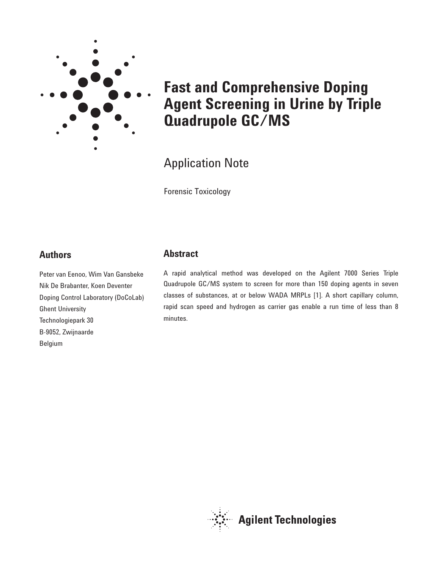

# **Fast and Comprehensive Doping Agent Screening in Urine by Triple Quadrupole GC/MS**

# Application Note

Forensic Toxicology

# **Authors**

Peter van Eenoo, Wim Van Gansbeke Nik De Brabanter, Koen Deventer Doping Control Laboratory (DoCoLab) Ghent University Technologiepark 30 B-9052, Zwijnaarde Belgium

# **Abstract**

A rapid analytical method was developed on the Agilent 7000 Series Triple Quadrupole GC/MS system to screen for more than 150 doping agents in seven classes of substances, at or below WADA MRPLs [1]. A short capillary column, rapid scan speed and hydrogen as carrier gas enable a run time of less than 8 minutes.

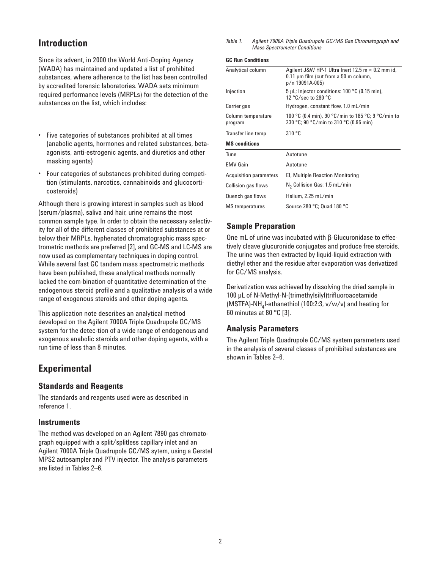# **Introduction**

Since its advent, in 2000 the World Anti-Doping Agency (WADA) has maintained and updated a list of prohibited substances, where adherence to the list has been controlled by accredited forensic laboratories. WADA sets minimum required performance levels (MRPLs) for the detection of the substances on the list, which includes:

- Five categories of substances prohibited at all times (anabolic agents, hormones and related substances, betaagonists, anti-estrogenic agents, and diuretics and other masking agents)
- Four categories of substances prohibited during competition (stimulants, narcotics, cannabinoids and glucocorticosteroids)

Although there is growing interest in samples such as blood (serum/plasma), saliva and hair, urine remains the most common sample type. In order to obtain the necessary selectivity for all of the different classes of prohibited substances at or below their MRPLs, hyphenated chromatographic mass spectrometric methods are preferred [2], and GC-MS and LC-MS are now used as complementary techniques in doping control. While several fast GC tandem mass spectrometric methods have been published, these analytical methods normally lacked the com-bination of quantitative determination of the endogenous steroid profile and a qualitative analysis of a wide range of exogenous steroids and other doping agents.

This application note describes an analytical method developed on the Agilent 7000A Triple Quadrupole GC/MS system for the detec-tion of a wide range of endogenous and exogenous anabolic steroids and other doping agents, with a run time of less than 8 minutes.

# **Experimental**

### **Standards and Reagents**

The standards and reagents used were as described in reference 1.

#### **Instruments**

The method was developed on an Agilent 7890 gas chromatograph equipped with a split/splitless capillary inlet and an Agilent 7000A Triple Quadrupole GC/MS sytem, using a Gerstel MPS2 autosampler and PTV injector. The analysis parameters are listed in Tables 2–6.

*Table 1. Agilent 7000A Triple Quadrupole GC/MS Gas Chromatograph and Mass Spectrometer Conditions*

#### **GC Run Conditions**

| Analytical column             | Agilent J&W HP-1 Ultra Inert 12.5 m $\times$ 0.2 mm id,<br>$0.11$ µm film (cut from a $50$ m column,<br>p/n 19091A-005) |  |  |
|-------------------------------|-------------------------------------------------------------------------------------------------------------------------|--|--|
| Injection                     | $5 \mu L$ ; Injector conditions: 100 °C (0.15 min),<br>12 °C/sec to 280 °C                                              |  |  |
| Carrier gas                   | Hydrogen, constant flow, 1.0 mL/min                                                                                     |  |  |
| Column temperature<br>program | 100 °C (0.4 min), 90 °C/min to 185 °C; 9 °C/min to<br>230 °C; 90 °C/min to 310 °C (0.95 min)                            |  |  |
| Transfer line temp            | 310 °C                                                                                                                  |  |  |
| <b>MS</b> conditions          |                                                                                                                         |  |  |
| Tune                          | Autotune                                                                                                                |  |  |
| <b>EMV Gain</b>               | Autotune                                                                                                                |  |  |
| <b>Acquisition parameters</b> | El, Multiple Reaction Monitoring                                                                                        |  |  |
| <b>Collision gas flows</b>    | $N2$ Collision Gas: 1.5 mL/min                                                                                          |  |  |
| Quench gas flows              | Helium, 2.25 mL/min                                                                                                     |  |  |
|                               |                                                                                                                         |  |  |

### **Sample Preparation**

One mL of urine was incubated with β-Glucuronidase to effectively cleave glucuronide conjugates and produce free steroids. The urine was then extracted by liquid-liquid extraction with diethyl ether and the residue after evaporation was derivatized for GC/MS analysis.

Derivatization was achieved by dissolving the dried sample in 100 µL of N-Methyl-N-(trimethylsilyl)trifluoroacetamide (MSTFA)-NH<sub>4</sub>I-ethanethiol (100:2:3,  $v/w/v$ ) and heating for 60 minutes at 80 °C [3].

#### **Analysis Parameters**

The Agilent Triple Quadrupole GC/MS system parameters used in the analysis of several classes of prohibited substances are shown in Tables 2–6.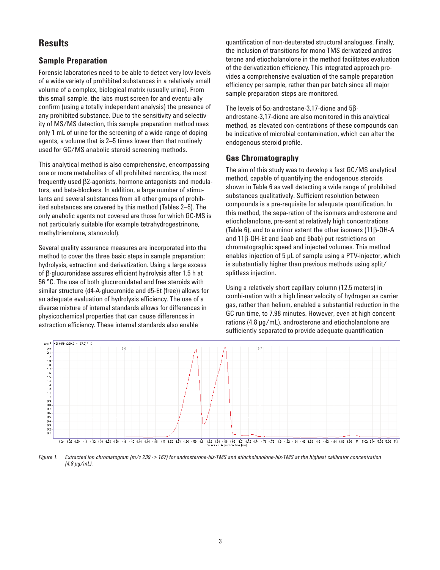## **Results**

#### **Sample Preparation**

Forensic laboratories need to be able to detect very low levels of a wide variety of prohibited substances in a relatively small volume of a complex, biological matrix (usually urine). From this small sample, the labs must screen for and eventu-ally confirm (using a totally independent analysis) the presence of any prohibited substance. Due to the sensitivity and selectivity of MS/MS detection, this sample preparation method uses only 1 mL of urine for the screening of a wide range of doping agents, a volume that is 2–5 times lower than that routinely used for GC/MS anabolic steroid screening methods.

This analytical method is also comprehensive, encompassing one or more metabolites of all prohibited narcotics, the most frequently used β2-agonists, hormone antagonists and modulators, and beta-blockers. In addition, a large number of stimulants and several substances from all other groups of prohibited substances are covered by this method (Tables 2–5). The only anabolic agents not covered are those for which GC-MS is not particularly suitable (for example tetrahydrogestrinone, methyltrienolone, stanozolol).

Several quality assurance measures are incorporated into the method to cover the three basic steps in sample preparation: hydrolysis, extraction and derivatization. Using a large excess of β-glucuronidase assures efficient hydrolysis after 1.5 h at 56 °C. The use of both glucuronidated and free steroids with similar structure (d4-A-glucuronide and d5-Et (free)) allows for an adequate evaluation of hydrolysis efficiency. The use of a diverse mixture of internal standards allows for differences in physicochemical properties that can cause differences in extraction efficiency. These internal standards also enable

quantification of non-deuterated structural analogues. Finally, the inclusion of transitions for mono-TMS derivatized androsterone and etiocholanolone in the method facilitates evaluation of the derivatization efficiency. This integrated approach provides a comprehensive evaluation of the sample preparation efficiency per sample, rather than per batch since all major sample preparation steps are monitored.

The levels of 5α-androstane-3,17-dione and 5βandrostane-3,17-dione are also monitored in this analytical method, as elevated con-centrations of these compounds can be indicative of microbial contamination, which can alter the endogenous steroid profile.

#### **Gas Chromatography**

The aim of this study was to develop a fast GC/MS analytical method, capable of quantifying the endogenous steroids shown in Table 6 as well detecting a wide range of prohibited substances qualitatively. Sufficient resolution between compounds is a pre-requisite for adequate quantification. In this method, the sepa-ration of the isomers androsterone and etiocholanolone, pre-sent at relatively high concentrations (Table 6), and to a minor extent the other isomers (11β-OH-A and 11β-OH-Et and 5aab and 5bab) put restrictions on chromatographic speed and injected volumes. This method enables injection of 5 µL of sample using a PTV-injector, which is substantially higher than previous methods using split/ splitless injection.

Using a relatively short capillary column (12.5 meters) in combi-nation with a high linear velocity of hydrogen as carrier gas, rather than helium, enabled a substantial reduction in the GC run time, to 7.98 minutes. However, even at high concentrations (4.8 µg/mL), androsterone and etiocholanolone are sufficiently separated to provide adequate quantification



*Figure 1. Extracted ion chromatogram (m/z 239 -> 167) for androsterone-bis-TMS and etiocholanolone-bis-TMS at the highest calibrator concentration (4.8 µg/mL).*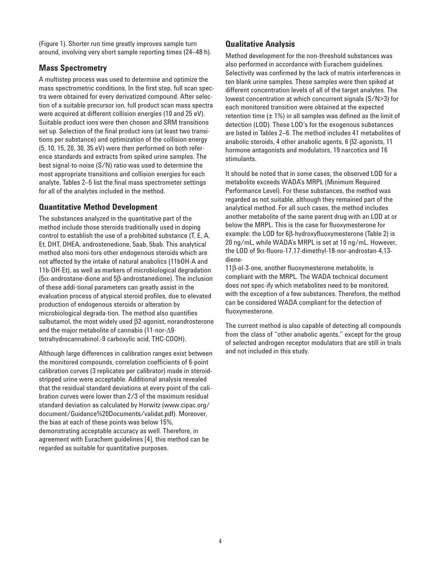(Figure 1). Shorter run time greatly improves sample turn around, involving very short sample reporting times (24–48 h).

### **Mass Spectrometry**

A multistep process was used to determine and optimize the mass spectrometric conditions. In the first step, full scan spectra were obtained for every derivatized compound. After selection of a suitable precursor ion, full product scan mass spectra were acquired at different collision energies (10 and 25 eV). Suitable product ions were then chosen and SRM transitions set up. Selection of the final product ions (at least two transitions per substance) and optimization of the collision energy (5, 10, 15, 20, 30, 35 eV) were then performed on both reference standards and extracts from spiked urine samples. The best signal-to-noise (S/N) ratio was used to determine the most appropriate transitions and collision energies for each analyte. Tables 2–5 list the final mass spectrometer settings for all of the analytes included in the method.

## **Quantitative Method Development**

The substances analyzed in the quantitative part of the method include those steroids traditionally used in doping control to establish the use of a prohibited substance (T, E, A, Et, DHT, DHEA, androstenedione, 5aab, 5bab. This analytical method also moni-tors other endogenous steroids which are not affected by the intake of natural anabolics (11bOH-A and 11b-OH-Et), as well as markers of microbiological degradation (5α-androstane-dione and 5β-androstanedione). The inclusion of these addi-tional parameters can greatly assist in the evaluation process of atypical steroid profiles, due to elevated production of endogenous steroids or alteration by microbiological degrada-tion. The method also quantifies salbutamol, the most widely used β2-agonist, norandrosterone and the major metabolite of cannabis (11-nor-∆9 tetrahydrocannabinol.-9 carboxylic acid, THC-COOH).

Although large differences in calibration ranges exist between the monitored compounds, correlation coefficients of 6-point calibration curves (3 replicates per calibrator) made in steroidstripped urine were acceptable. Additional analysis revealed that the residual standard deviations at every point of the calibration curves were lower than 2/3 of the maximum residual standard deviation as calculated by Horwitz (www.cipac.org/ document/Guidance%20Documents/validat.pdf). Moreover, the bias at each of these points was below 15%, demonstrating acceptable accuracy as well. Therefore, in agreement with Eurachem guidelines [4], this method can be regarded as suitable for quantitative purposes.

### **Qualitative Analysis**

Method development for the non-threshold substances was also performed in accordance with Eurachem guidelines. Selectivity was confirmed by the lack of matrix interferences in ten blank urine samples. These samples were then spiked at different concentration levels of all of the target analytes. The lowest concentration at which concurrent signals (S/N>3) for each monitored transition were obtained at the expected retention time  $(\pm 1\%)$  in all samples was defined as the limit of detection (LOD). These LOD's for the exogenous substances are listed in Tables 2–6. The method includes 41 metabolites of anabolic steroids, 4 other anabolic agents, 6 β2-agonists, 11 hormone antagonists and modulators, 19 narcotics and 16 stimulants.

It should be noted that in some cases, the observed LOD for a metabolite exceeds WADA's MRPL (Minimum Required Performance Level). For these substances, the method was regarded as not suitable, although they remained part of the analytical method. For all such cases, the method includes another metabolite of the same parent drug with an LOD at or below the MRPL. This is the case for fluoxymesterone for example: the LOD for 6β-hydroxyfluoxymesterone (Table 2) is 20 ng/mL, while WADA's MRPL is set at 10 ng/mL. However, the LOD of  $9\alpha$ -fluoro-17,17-dimethyl-18-nor-androstan-4,13diene-

11β-ol-3-one, another fluoxymesterone metabolite, is compliant with the MRPL. The WADA technical document does not spec-ify which metabolites need to be monitored, with the exception of a few substances. Therefore, the method can be considered WADA compliant for the detection of fluoxymesterone.

The current method is also capable of detecting all compounds from the class of "other anabolic agents," except for the group of selected androgen receptor modulators that are still in trials and not included in this study.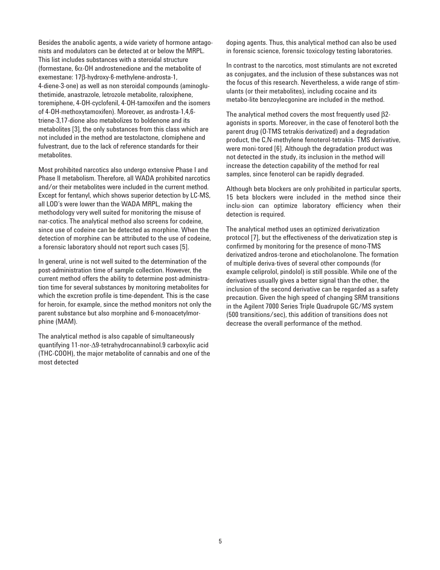Besides the anabolic agents, a wide variety of hormone antagonists and modulators can be detected at or below the MRPL. This list includes substances with a steroidal structure (formestane, 6α-OH androstenedione and the metabolite of exemestane: 17β-hydroxy-6-methylene-androsta-1, 4-diene-3-one) as well as non steroidal compounds (aminogluthetimide, anastrazole, letrozole metabolite, raloxiphene, toremiphene, 4-OH-cyclofenil, 4-OH-tamoxifen and the isomers of 4-OH-methoxytamoxifen). Moreover, as androsta-1,4,6 triene-3,17-dione also metabolizes to boldenone and its metabolites [3], the only substances from this class which are not included in the method are testolactone, clomiphene and fulvestrant, due to the lack of reference standards for their metabolites.

Most prohibited narcotics also undergo extensive Phase I and Phase II metabolism. Therefore, all WADA prohibited narcotics and/or their metabolites were included in the current method. Except for fentanyl, which shows superior detection by LC-MS, all LOD's were lower than the WADA MRPL, making the methodology very well suited for monitoring the misuse of nar-cotics. The analytical method also screens for codeine, since use of codeine can be detected as morphine. When the detection of morphine can be attributed to the use of codeine, a forensic laboratory should not report such cases [5].

In general, urine is not well suited to the determination of the post-administration time of sample collection. However, the current method offers the ability to determine post-administration time for several substances by monitoring metabolites for which the excretion profile is time-dependent. This is the case for heroin, for example, since the method monitors not only the parent substance but also morphine and 6-monoacetylmorphine (MAM).

The analytical method is also capable of simultaneously quantifying 11-nor-∆9-tetrahydrocannabinol.9 carboxylic acid (THC-COOH), the major metabolite of cannabis and one of the most detected

doping agents. Thus, this analytical method can also be used in forensic science, forensic toxicology testing laboratories.

In contrast to the narcotics, most stimulants are not excreted as conjugates, and the inclusion of these substances was not the focus of this research. Nevertheless, a wide range of stimulants (or their metabolites), including cocaine and its metabo-lite benzoylecgonine are included in the method.

The analytical method covers the most frequently used β2 agonists in sports. Moreover, in the case of fenoterol both the parent drug (O-TMS tetrakis derivatized) and a degradation product, the C,N-methylene fenoterol-tetrakis- TMS derivative, were moni-tored [6]. Although the degradation product was not detected in the study, its inclusion in the method will increase the detection capability of the method for real samples, since fenoterol can be rapidly degraded.

Although beta blockers are only prohibited in particular sports, 15 beta blockers were included in the method since their inclu-sion can optimize laboratory efficiency when their detection is required.

The analytical method uses an optimized derivatization protocol [7], but the effectiveness of the derivatization step is confirmed by monitoring for the presence of mono-TMS derivatized andros-terone and etiocholanolone. The formation of multiple deriva-tives of several other compounds (for example celiprolol, pindolol) is still possible. While one of the derivatives usually gives a better signal than the other, the inclusion of the second derivative can be regarded as a safety precaution. Given the high speed of changing SRM transitions in the Agilent 7000 Series Triple Quadrupole GC/MS system (500 transitions/sec), this addition of transitions does not decrease the overall performance of the method.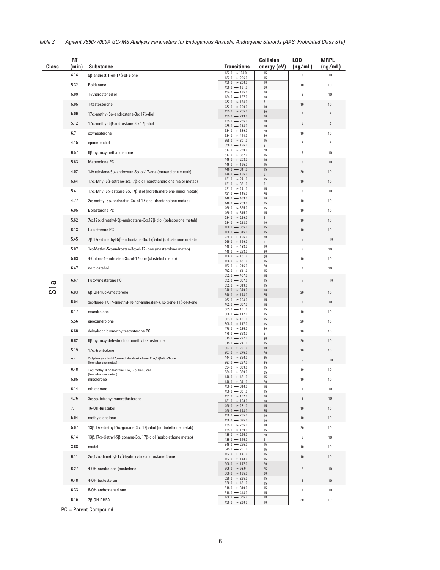| <b>Class</b> | <b>RT</b><br>(min) | Substance                                                                                              | <b>Transitions</b>                                     | <b>Collision</b><br>energy (eV) | LOD<br>(ng/mL) | <b>MRPL</b><br>(ng/mL) |
|--------------|--------------------|--------------------------------------------------------------------------------------------------------|--------------------------------------------------------|---------------------------------|----------------|------------------------|
|              | 4.14               | 5β-androst-1-en-17β-ol-3-one                                                                           | $432.0 \rightarrow 194.0$<br>$432.0 \rightarrow 206.0$ | 15<br>15                        | 5              | 10                     |
|              | 5.32               | Boldenone                                                                                              | 430.0 $\rightarrow$ 206.0                              | 10                              | 10             | 10                     |
|              | 5.09               | 1-Androstenediol                                                                                       | $430.0 \rightarrow 191.0$<br>$434.0 \rightarrow 195.0$ | 30<br>20                        | 5              | 10                     |
|              |                    |                                                                                                        | $434.0 \rightarrow 127.0$<br>$432.0 \rightarrow 194.0$ | 20<br>5                         |                |                        |
|              | 5.05               | 1-testosterone                                                                                         | $432.0 \rightarrow 206.0$<br>$435.0 \rightarrow 255.0$ | 10<br>20                        | 10             | 10                     |
|              | 5.09               | $17\alpha$ -methyl-5 $\alpha$ -androstane-3 $\alpha$ ,17 $\beta$ -diol                                 | $435.0 \rightarrow 213.0$                              | 20                              | $\overline{2}$ | $\overline{2}$         |
|              | 5.12               | 17α-methyl-5β-androstane-3α,17β-diol                                                                   | $435.0 \rightarrow 255.0$<br>$435.0 \rightarrow 213.0$ | 20<br>20                        | 5              | $\sqrt{2}$             |
|              | 6.7                | oxymesterone                                                                                           | $534.0 \rightarrow 389.0$<br>$534.0 \rightarrow 444.0$ | 20<br>20                        | 10             | 10                     |
|              | 4.15               | epimetendiol                                                                                           | $358.0 \rightarrow 301.0$<br>$358.0 \rightarrow 196.0$ | 15<br>5                         | 2              | $\overline{c}$         |
|              | 6.57               | 6ß-hydroxymethandienone                                                                                | $517.0 \rightarrow 229.0$<br>$517.0 \rightarrow 337.0$ | 20<br>15                        | 5              | 10                     |
|              | 5.63               | Metenolone PC                                                                                          | $446.0 \rightarrow 208.0$                              | 10                              | 5              | $10\,$                 |
|              | 4.92               | 1-Methylene-5α-androstan-3α-ol-17-one (metenolone metab)                                               | $446.0 \rightarrow 195.0$<br>$446.0 \rightarrow 341.0$ | 15<br>15                        | $20\,$         | 10                     |
|              | 5.64               |                                                                                                        | $446.0 \rightarrow 195.0$<br>$421.0 \rightarrow 241.0$ | 5<br>15                         | 10             |                        |
|              |                    | 17α-Ethyl-5β-estrane-3α,17β-diol (norethandrolone major metab)                                         | $421.0 \rightarrow 331.0$<br>$421.0 \rightarrow 241.0$ | 5<br>15                         |                | $10\,$                 |
|              | 5.4                | 17α-Ethyl-5α-estrane-3α,17β-diol (norethandrolone minor metab)                                         | $421.0 \rightarrow 145.0$<br>$448.0 \rightarrow 433.0$ | 25<br>10                        | 5              | 10                     |
|              | 4.77               | $2\alpha$ -methyl-5 $\alpha$ -androstan-3 $\alpha$ -ol-17-one (drostanolone metab)                     | $448.0 \rightarrow 253.0$                              | 25                              | 10             | 10                     |
|              | 6.05               | <b>Bolasterone PC</b>                                                                                  | $460.0 \rightarrow 355.0$<br>$460.0 \rightarrow 315.0$ | 15<br>15                        | 10             | 10                     |
|              | 5.62               | 7α,17α-dimethyl-5β-androstane-3α,17β-diol (bolasterone metab)                                          | $284.0 \rightarrow 269.0$<br>$284.0 \rightarrow 213.0$ | 5<br>10                         | 10             | 10                     |
|              | 6.13               | <b>Calusterone PC</b>                                                                                  | $460.0 \rightarrow 355.0$<br>$460.0 \rightarrow 315.0$ | 15<br>15                        | 10             | 10                     |
|              | 5.45               | $7\beta$ ,17 $\alpha$ -dimethyl-5 $\beta$ -androstane-3 $\alpha$ ,17 $\beta$ -diol (calusterone metab) | $229.0 \rightarrow 105.0$<br>$269.0 \rightarrow 159.0$ | 30<br>5                         | $\!\! /$       | 10                     |
|              | 5.07               | $1\alpha$ -Methyl-5 $\alpha$ -androstan-3 $\alpha$ -ol-17- one (mesterolone metab)                     | $448.0 \rightarrow 433.0$                              | 10                              | 5              | 10                     |
|              | 5.63               | 4-Chloro-4-androsten-3α-ol-17-one (clostebol metab)                                                    | $448.0 \rightarrow 253.0$<br>$466.0 \rightarrow 181.0$ | 20<br>20                        | 10             | 10                     |
|              | 6.47               |                                                                                                        | $466.0 \rightarrow 431.0$<br>$452.0 \rightarrow 216.0$ | 15<br>20                        |                |                        |
|              |                    | norclostebol                                                                                           | $452.0 \rightarrow 321.0$<br>$552.0 \rightarrow 407.0$ | 15<br>15                        | $\overline{2}$ | 10                     |
| ᡕᠣ           | 6.67               | fluoxymesterone PC                                                                                     | $552.0 \rightarrow 357.0$<br>$552.0 \rightarrow 319.0$ | 15<br>15                        | $\!\! /$       | 10                     |
| 5            | 6.93               | 6β-OH-fluoxymesterone                                                                                  | $640.0 \rightarrow 640.0$<br>$640.0 \rightarrow 143.0$ | 10<br>25                        | 20             | 10                     |
|              | 5.04               | 9α-fluoro-17,17-dimethyl-18-nor-androstan-4,13-diene-11β-ol-3-one                                      | $462.0 \rightarrow 208.0$<br>$462.0 \rightarrow 337.0$ | 15<br>15                        | 5              | $10\,$                 |
|              | 6.17               | oxandrolone                                                                                            | $363,0 \rightarrow 161,0$                              | 15                              | 10             | 10                     |
|              | 5.56               | epioxandrolone                                                                                         | $308.0 \rightarrow 117.0$<br>$363,0 \rightarrow 161,0$ | 15<br>15                        | 20             | 10                     |
|              | 6.68               | dehydrochloromethyltestosterone PC                                                                     | $308.0 \rightarrow 117.0$<br>$478.0 \rightarrow 285.0$ | 15<br>20                        | 10             | 10                     |
|              |                    |                                                                                                        | $478.0 \rightarrow 353.0$<br>$315.0 \rightarrow 227.0$ | 5<br>20                         |                |                        |
|              | 6.82               | 6ß-hydroxy-dehydrochloromethyltestosterone                                                             | $315.0 \rightarrow 241.0$<br>$307.0 \rightarrow 291.0$ | 15<br>10                        | 20             | 10                     |
|              | 5.19               | $17\alpha$ -trenbolone                                                                                 | $307.0 \rightarrow 275.0$<br>$444.0 \rightarrow 356.0$ | 20<br>25                        | 10             | 10                     |
|              | 7.1                | 2-Hydroxymethyl-17α-methylandrostadiene-11α,17β-diol-3-one<br>(formebolone metab)                      | $367.0 \rightarrow 257.0$                              | 25                              | $\!\! /$       | 10                     |
|              | 6.48               | 17α-methyl-4-androstene-11α,17β-diol-3-one<br>(formebolone metab)                                      | $534.0 \rightarrow 389.0$<br>$534.0 \rightarrow 339.0$ | 15<br>25                        | 10             | 10                     |
|              | 5.85               | mibolerone                                                                                             | $446.0 \rightarrow 431.0$<br>$446.0 \rightarrow 341.0$ | 15<br>20                        | 10             | 10                     |
|              | 6.14               | ethisterone                                                                                            | $456.0 \rightarrow 316.0$<br>$456.0 \rightarrow 301.0$ | 15<br>15                        | 1              | 10                     |
|              | 4.76               | $3\alpha$ , $5\alpha$ -tetrahydronorethisterone                                                        | $431.0 \rightarrow 167.0$<br>$431.0 \rightarrow 193.0$ | $20\,$<br>20                    | $\mathbf{2}$   | 10                     |
|              | 7.11               | 16-OH-furazabol                                                                                        | $490.0 \rightarrow 231.0$<br>490.0 $\rightarrow$ 143.0 | 15<br>35                        | 10             | 10                     |
|              | 5.94               | methyldienolone                                                                                        | $430.0 \rightarrow 285.0$                              | $10\,$                          | 10             | 10                     |
|              | 5.97               | $13\beta$ , 17 $\alpha$ -diethyl-5 $\alpha$ -gonane-3 $\alpha$ , 17 $\beta$ -diol (norbolethone metab) | $430.0 \rightarrow 325.0$<br>$435.0 \rightarrow 255.0$ | 10<br>10                        | $20\,$         | 10                     |
|              | 6.14               | $13\beta$ , $17\alpha$ -diethyl-5 $\beta$ -gonane- $3\alpha$ , $17\beta$ -diol (norbolethone metab)    | $435.0 \rightarrow 159.0$<br>$435.0 \rightarrow 255.0$ | 15<br>20                        | 5              | 10                     |
|              |                    |                                                                                                        | $435.0 \rightarrow 345.0$<br>$345.0 \rightarrow 255.0$ | 5<br>15                         |                |                        |
|              | 3.68               | madol                                                                                                  | $345.0 \rightarrow 201.0$<br>$462.0 \rightarrow 141.0$ | 15<br>15                        | 10             | 10                     |
|              | 6.11               | 2a,17a-dimethyl-17ß-hydroxy-5a-androstane-3-one                                                        | $462.0 \rightarrow 143.0$                              | 15                              | 10             | 10                     |
|              | 6.27               | 4-OH-nandrolone (oxabolone)                                                                            | $506.0 \rightarrow 147.0$<br>$506.0 \rightarrow 93.0$  | $20\,$<br>25                    | $\mathbf{2}$   | $10\,$                 |
|              | 6.48               | 4-OH-testosteron                                                                                       | $506.0 \rightarrow 195.0$<br>$520.0 \rightarrow 225.0$ | $20\,$<br>15                    | $\mathbf{2}$   | 10                     |
|              | 6.33               | 6-OH-androstenedione                                                                                   | $520.0 \rightarrow 431.0$<br>$518.0 \rightarrow 319.0$ | 15<br>15                        |                |                        |
|              |                    |                                                                                                        | $518.0 \rightarrow 413.0$<br>$430.0 \rightarrow 325.0$ | 15<br>10                        | $\mathbf{1}$   | 10                     |
|              | 5.19               | 7ß-OH-DHEA                                                                                             | $430.0 \rightarrow 220.0$                              | 10                              | $20\,$         | 10                     |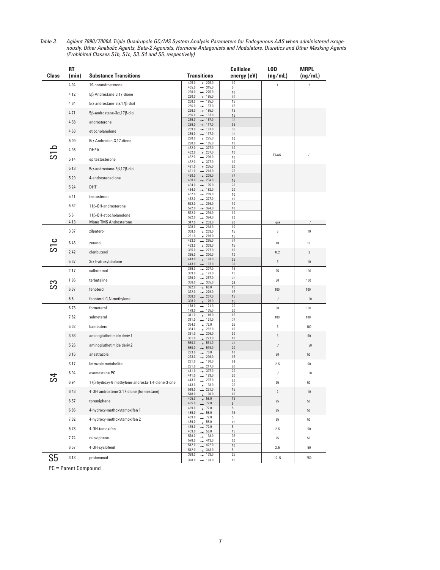| Table 3. | Agilent 7890/7000A Triple Quadrupole GC/MS System Analysis Parameters for Endogenous AAS when administered exoge-      |
|----------|------------------------------------------------------------------------------------------------------------------------|
|          | nously, Other Anabolic Agents, Beta-2 Agonists, Hormone Antagonists and Modulators, Diuretics and Other Masking Agents |
|          | (Prohibited Classes S1b, S1c, S3, S4 and S5, respectively)                                                             |

|       | RT    |                                                     |                                                                    | <b>Collision</b>  | LOD          | <b>MRPL</b> |
|-------|-------|-----------------------------------------------------|--------------------------------------------------------------------|-------------------|--------------|-------------|
| Class | (min) | <b>Substance Transitions</b>                        | <b>Transitions</b><br>$\rightarrow$ 225.0<br>405.0                 | energy (eV)<br>10 | (ng/mL)      | (ng/mL)     |
|       | 4.04  | 19-norandrosterone                                  | $\rightarrow$ 315.0<br>405.0                                       | 5                 | $\mathbf{1}$ | $\sqrt{2}$  |
|       | 4.12  | 5β-Androstane-3,17-dione                            | $\rightarrow$ 275.0<br>290.0<br>$+ 185.0$<br>290.0                 | $10\,$<br>10      |              |             |
|       | 4.64  | $5\alpha$ -androstane- $3\alpha$ , 17 $\beta$ -diol | 256.0<br>$+ 185.0$<br>256.0<br>$\rightarrow$ 157.0                 | 15<br>15          |              |             |
|       | 4.71  | $5\beta$ -androstane- $3\alpha$ , 17 $\beta$ -diol  | 256.0<br>$\rightarrow$ 185.0                                       | 15                |              |             |
|       | 4.58  | androsterone                                        | 256.0<br>$\rightarrow$ 157.0<br>239.0<br>$\rightarrow$ 167.0       | 15<br>35          |              |             |
|       |       |                                                     | 239.0<br>117.0<br>$\rightarrow$<br>239.0<br>167.0<br>$\rightarrow$ | $35\,$<br>35      |              |             |
|       | 4.63  | etiocholanolone                                     | 239.0<br>$\rightarrow$<br>117.0<br>$\rightarrow$ 275.0<br>290.0    | 35<br>10          |              |             |
|       | 5.09  | $5\alpha$ -Androstan-3,17-dione                     | 290.0<br>$\rightarrow$ 185.0                                       | 10                |              |             |
| S1b   | 4.98  | DHEA                                                | 432.0<br>$\rightarrow$ 327.0<br>432.0<br>$+ 237.0$                 | 10<br>10          | EAAS         |             |
|       | 5.14  | epitestosterone                                     | 432.0<br>$\rightarrow$ 209.0<br>432.0<br>$\rightarrow$ 327.0       | 10<br>10          |              |             |
|       | 5.13  | 5α-androstane-3β,17β-diol                           | 421.0<br>$\rightarrow$ 255.0<br>421.0<br>$\rightarrow$ 213.0       | 20<br>20          |              |             |
|       | 5.29  | 4-androstenedione                                   | 430.0<br>$\rightarrow$ 209.0<br>430.0<br>$\rightarrow$<br>234.0    | 15<br>15          |              |             |
|       | 5.24  | DHT                                                 | 434.0<br>195.0<br>$\rightarrow$                                    | 20                |              |             |
|       | 5.41  | testosteron                                         | 434.0<br>$+ 182.0$<br>209.0<br>432.0<br>$\rightarrow$              | 20<br>10          |              |             |
|       |       |                                                     | 432.0<br>327.0<br>$\rightarrow$<br>522.0<br>$+ 236.0$              | 10<br>10          |              |             |
|       | 5.52  | 11β-OH-androsterone                                 | 522.0<br>$- 324.0$<br>522.0<br>$\rightarrow$ 236.0                 | 10<br>10          |              |             |
|       | 5.6   | 11β-OH-etiocholanolone                              | 522.0<br>$\rightarrow$ 324.0                                       | 10                |              |             |
|       | 4.13  | <b>Mono TMS Androsterone</b>                        | 347.0<br>$\rightarrow$<br>253.0<br>308.0<br>$\rightarrow$ 218.0    | 20<br>10          | qas          |             |
|       | 3.37  | zilpaterol                                          | 308.0<br>$\rightarrow$ 203.0<br>219.0<br>291.0<br>$\rightarrow$    | 15<br>15          | 5            | 10          |
|       | 6.43  | zeranol                                             | 295.0<br>433.0<br>$\rightarrow$<br>433.0<br>$- 309.0$              | 15<br>15          | 10           | 10          |
|       | 2.42  | clenbuterol                                         | 335.0<br>227.0<br>$\rightarrow$<br>335.0<br>$+ 300.0$              | 10                | 0.2          | $\sqrt{2}$  |
|       | 5.37  | 3a-hydroxytibolone                                  | 443.0<br>$+ 193.0$                                                 | 10<br>35          | 5            | 10          |
|       | 2.17  | salbutamol                                          | 443.0<br>$+ 167.0$<br>369.0<br>$\rightarrow$ 207.0                 | 30<br>15          | 25           | 100         |
|       | 1.96  | terbutaline                                         | 369.0<br>$\rightarrow$ 191.0<br>356.0<br>$+ 267.0$                 | 15<br>25          | 50           | 100         |
|       | 6.07  |                                                     | 356.0<br>$\rightarrow$ 355.0<br>322.0<br>$+ 68.0$                  | 25<br>15          |              |             |
|       |       | fenoterol                                           | 322.0<br>$+ 279.0$<br>308.0<br>$\rightarrow$ 207.0                 | 15<br>15          | 100          | 100         |
|       | 6.6   | fenoterol C,N-methylene                             | 308.0<br>$\rightarrow$ 179.0<br>178.0<br>$\rightarrow$ 121.0       | 15<br>20          | /            | 50          |
|       | 6.73  | formoterol                                          | 178.0<br>$+ 135.0$                                                 | 20                | 50           | 100         |
|       | 7.82  | salmeterol                                          | 311.0<br>149.0<br>311.0<br>$- 121.0$                               | 15<br>25          | 100          | 100         |
|       | 5.02  | bambuterol                                          | 354.0<br>$\rightarrow$ 72.0<br>$\rightarrow$ 282.0<br>354.0        | 25<br>10          | 5            | 100         |
|       | 3.63  | aminogluthetimide deriv.1                           | $\rightarrow$ 206.0<br>361.0<br>361.0<br>$+ 221.0$                 | 30<br>$10\,$      | 5            | 50          |
|       | 5.26  | aminogluthetimide deriv.2                           | 580.0<br>$\rightarrow$ 551.0                                       | 20                | $\prime$     | 50          |
|       | 3.16  | anastrazole                                         | 580.0<br>$\rightarrow$ 519.0<br>293.0<br>$\rightarrow$ 70.0        | $20\,$<br>10      | 50           | 50          |
|       | 3.17  | letrozole metabolite                                | 293.0<br>$\rightarrow$ 209.0<br>$\rightarrow$ 160.0<br>291.0       | 15<br>15          | 2.5          | 50          |
|       |       | exemestane PC                                       | $\rightarrow$ 217.0<br>291.0<br>441.0<br>307.0<br>$\rightarrow$    | $20\,$<br>20      |              |             |
|       | 6.94  |                                                     | 441.0<br>193.0<br>207.0<br>443.0<br>$\rightarrow$                  | 20<br>20          | $\prime$     | 50          |
|       | 6.94  | 17β-hydroxy-6-methylene-androsta-1,4-diene-3-one    | 443.0<br>$\rightarrow$ 193.0                                       | 20                | 25           | 50          |
|       | 6.43  | 4-OH-androstene-3,17-dione (formestane)             | $518.0 - \rightarrow$<br>221.0<br>$518.0$ $\longrightarrow$ 190.0  | 15<br>$10\,$      | $\mathbf{2}$ | $10\,$      |
|       | 6.57  | toremiphene                                         | $405.0$ $\longrightarrow$ 58.0<br>$405.0$ $\rightarrow$ 72.0       | 15<br>5           | 25           | $50\,$      |
|       | 6.86  | 4-hydroxy-methoxytamoxifen 1                        | 489.0<br>$\rightarrow$ 72.0<br>489.0<br>$\rightarrow$ 58.0         | 5<br>15           | $25\,$       | 50          |
|       | 7.02  | 4-hydroxy-methoxytamoxifen 2                        | 489.0<br>$\rightarrow$ 72.0<br>58.0<br>489.0                       | 5<br>15           | 25           | $50\,$      |
|       | 5.78  | 4-OH-tamoxifen                                      | 459.0<br>72.0<br>$\rightarrow$<br>459.0<br>58.0<br>$\rightarrow$   | 5<br>15           | $2.5\,$      | $50\,$      |
|       | 7.74  | raloxiphene                                         | 578.0<br>193.0                                                     | 35                | 25           | $50\,$      |
|       | 6.57  | 4-OH-cyclofenil                                     | 578.0<br>413.0<br>$\rightarrow$ 422.0<br>512.0                     | 30<br>10          | 2.5          | 50          |
|       |       |                                                     | 512.0<br>343.0<br>328.0<br>$\rightarrow$ 103.0                     | 5<br>25           |              |             |
| S5    | 3.13  | probenecid                                          | $328.0 \rightarrow 193.0$                                          | 15                | 12.5         | 250         |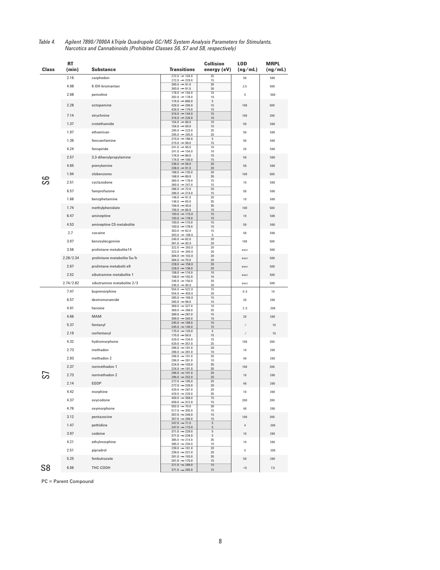| Class | RT<br>(min) | <b>Substance</b>           | <b>Transitions</b>                                     | <b>Collision</b><br>energy (eV) | <b>LOD</b><br>(ng/mL) | <b>MRPL</b><br>(ng/mL) |
|-------|-------------|----------------------------|--------------------------------------------------------|---------------------------------|-----------------------|------------------------|
|       | 2.16        | carphedon                  | $272.0 \rightarrow 104.0$<br>$272.0 \rightarrow 229.0$ | 25<br>15                        | 50                    | 500                    |
|       | 4.98        | 6-OH-bromantan             | $395.0 - 91.0$<br>$393.0 \rightarrow 91.0$             | 30<br>30                        | 2,5                   | 500                    |
|       | 2.08        | pemoline                   | $178.0 \rightarrow 104.0$<br>$392.0 \rightarrow 178.0$ | 10                              | 5                     | 500                    |
|       |             |                            | $174.0 \rightarrow 866.0$                              | 10<br>5                         |                       |                        |
|       | 2.28        | octopamine                 | $426.0 \rightarrow 206.0$<br>$426.0 \rightarrow 179.0$ | 15<br>15                        | 100                   | 500                    |
|       | 7.14        | strychnine                 | $316.0 \rightarrow 144.0$<br>$316.0 \rightarrow 220.0$ | 15<br>10                        | 100                   | 200                    |
|       | 1.37        | crotethamide               | $154.0 - 86.0$<br>$154.0 + 69.0$                       | 10<br>15                        | 50                    | 500                    |
|       | 1.97        | ethamivan                  | $295.0 \rightarrow 223.0$<br>$295.0 \rightarrow 265.0$ | 25<br>20                        | 50                    | 500                    |
|       | 1.36        | fencamfamine               | $215.0 \rightarrow 186.0$<br>$215.0 - 98.0$            | 5<br>15                         | 50                    | 500                    |
|       | 4.24        | fenspiride                 | $241.0 \rightarrow 96.0$                               | $10\,$                          | 25                    | 500                    |
|       | 2.57        | 3,3-dihenylpropylamine     | $241.0 \rightarrow 154.0$<br>$174.0 \rightarrow 86.0$  | 10<br>15                        | 50                    | 500                    |
|       | 4.65        | prenylamine                | $174.0 \rightarrow 100.0$<br>$238.0 - 58.0$            | 15<br>20                        | 50                    | 500                    |
|       |             |                            | $238.0 \rightarrow 91.0$<br>$168.0 \rightarrow 125.0$  | 20<br>20                        |                       | 500                    |
|       | 1.94        | clobenzorex                | $168.0 - 89.0$<br>$360.0 \rightarrow 178.0$            | 35<br>15                        | 100                   |                        |
|       | 2.51        | cyclazodone                | $360.0 \rightarrow 247.0$<br>$286.0 \rightarrow 72.0$  | 15<br>20                        | 10                    | 500                    |
|       | 6.57        | famprofazone               | $286.0 \rightarrow 214.0$                              | 15                              | 50                    | 500                    |
|       | 1.66        | benzphetamine              | $148.0 \rightarrow 91.0$<br>$148.0 - 65.0$             | 20<br>35                        | 10                    | 500                    |
|       | 1.74        | methylphenidate            | $156.0 \rightarrow 45.0$<br>$156.0 - 84.0$             | 35<br>10                        | 100                   | 500                    |
|       | 6.47        | amineptine                 | $193.0 - 115.0$<br>$193.0 \rightarrow 178.0$           | 15<br>15                        | 10                    | 500                    |
|       | 4.53        | amineptine C5 metabolite   | $193.0 \rightarrow 115.0$<br>$193.0 \rightarrow 178.0$ | 15<br>15                        | 50                    | 500                    |
|       | 2.7         | cocaine                    | $303.0 \rightarrow 82.0$<br>$303.0 - 198.0$            | 15<br>5                         | 50                    | 500                    |
|       | 3.07        | benzoylecgonine            | $240.0 \rightarrow 82.0$                               | 20                              | 100                   | 500                    |
|       | 3.56        | prolintane metabolite14    | $361.0 \rightarrow 82.0$<br>$322.0 \rightarrow 293.0$  | 20<br>20                        | excr                  | 500                    |
|       | 2.28/2.34   | prolintane metabolite 5a/b | $322.0 - 205.0$<br>$304.0 \rightarrow 142.0$           | 20<br>20                        | excr                  | 500                    |
|       |             |                            | $304.0 \rightarrow 75.0$<br>$228.0 \rightarrow 158.0$  | 20<br>20                        |                       |                        |
|       | 2.67        | prolintane metabolit e9    | $228.0 \rightarrow 138.0$<br>$158.0 - 116.0$           | 20<br>10                        | excr                  | 500                    |
|       | 2.52        | sibutramine metabolite 1   | $158.0 \rightarrow 102.0$<br>$246.0 \rightarrow 156.0$ | $10\,$<br>20                    | excr                  | 500                    |
|       | 2.74/2.82   | sibutramine metabolite 2/3 | $246.0 - 84.0$<br>$554.0 - 522.0$                      | 20                              | excr                  | 500                    |
|       | 7.47        | buprenorphine              | $554.0 - 450.0$<br>$265.0 - 166.0$                     | 15<br>20                        | 0.5                   | 10                     |
|       | 6.57        | dextromoramide             | $265.0 \rightarrow 98.0$                               | 15<br>10                        | 20                    | 200                    |
|       | 4.91        | heroine                    | $369.0 \rightarrow 327.0$<br>$369.0 - 268.0$           | 10<br>25                        | 2.5                   | 200                    |
|       | 4.66        | <b>MAM</b>                 | $399.0 \rightarrow 287.0$<br>$399.0 \rightarrow 340.0$ | 15<br>10                        | 20                    | 200                    |
|       | 5.37        | fentanyl                   | $245.0 \rightarrow 189.0$<br>$245.0 \rightarrow 146.0$ | 10<br>15                        |                       | 10                     |
|       | 2.19        | norfentanyl                | $175.0 \rightarrow 120.0$<br>$175.0 \rightarrow 56.0$  | 5<br>15                         | 1                     | 10                     |
|       | 4.32        | hydromorphone              | $429.0 \rightarrow 234.0$                              | 15                              | 100                   | 200                    |
|       | 2.73        | methadon                   | $429.0 \rightarrow 357.0$<br>$296.0 \rightarrow 191.0$ | 25<br>20                        | 10                    | 200                    |
|       | 2.93        | methadon 2                 | $296.0 \rightarrow 281.0$<br>$296.0 \rightarrow 191.0$ | 10<br>20                        | 40                    | 200                    |
|       | 2.37        | normethadon 1              | $296.0 - 281.0$<br>$224.0 \rightarrow 103.0$           | 10<br>35                        | 100                   | 200                    |
|       |             |                            | $224.0 \rightarrow 191.0$<br>$296.0 \rightarrow 191.0$ | 35<br>20                        |                       |                        |
|       | 2.73        | normethadon 2              | $296.0 \rightarrow 252.0$<br>$277.0 \rightarrow 105.0$ | 20<br>25                        | 10                    | 200                    |
|       | 2.14        | EDDP                       | $277.0 \rightarrow 220.0$<br>$429.0 \rightarrow 287.0$ | 20<br>20                        | 40                    | 200                    |
|       | 4.42        | morphine                   | $429.0 \rightarrow 220.0$<br>$459.0 - 368.0$           | 35<br>15                        | 10                    | 200                    |
|       | 4.37        | oxycodone                  | $459.0 \rightarrow 312.0$                              | 15                              | 200                   | 200                    |
|       | 4.76        | oxymorphone                | $502.0 - 70.0$<br>$517.0 \rightarrow 355.0$            | 30<br>15                        | 40                    | 200                    |
|       | 3.12        | pentazocine                | $357.0 \rightarrow 246.0$<br>$357.0 - 289.0$           | 15<br>15                        | 100                   | 200                    |
|       | 1.47        | pethidine                  | $247.0 \rightarrow 71.0$<br>$247.0 \rightarrow 173.0$  | $\mathbf 5$<br>5                | 4                     | 200                    |
|       | 3.97        | codeine                    | $371.0 \rightarrow 229.0$<br>$371.0 \rightarrow 234.0$ | 5<br>5                          | $10\,$                | 200                    |
|       | 4.21        | ethylmorphine              | $385.0 \rightarrow 214.0$<br>$385.0 - 234.0$           | 35<br>10                        | $10\,$                | 200                    |
|       | 2.51        | pipradrol                  | $239.0 \rightarrow 161.0$<br>$239.0 \rightarrow 221.0$ | 20                              | 5                     | 200                    |
|       | 5.25        | fenbutrazate               | $261.0 \rightarrow 103.0$                              | $20\,$<br>35                    | 50                    | 200                    |
|       | 6.06        | THC-COOH                   | $261.0 \rightarrow 175.0$<br>$371.0 - 289.0$           | 15<br>15                        | $< 5$                 | 7,5                    |
| S8    |             |                            | $371.0 \rightarrow 265.0$                              | $15\,$                          |                       |                        |

*Table 4. Agilent 7890/7000A kTriple Quadrupole GC/MS System Analysis Parameters for Stimulants, Narcotics and Cannabinoids (Prohibited Classes S6, S7 and S8, respectively)*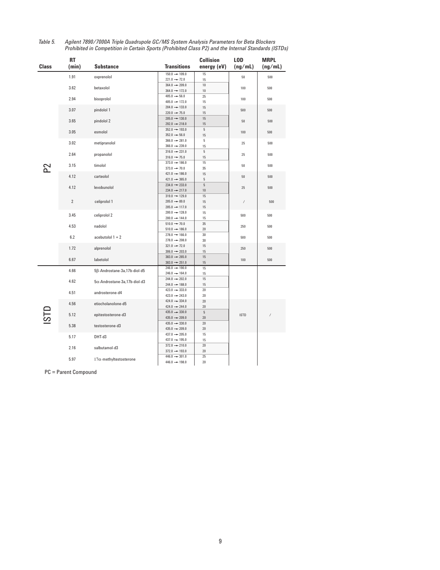|       | <b>RT</b>      |                                      |                                                       | <b>Collision</b> | L <sub>O</sub> D                                                      | <b>MRPL</b> |
|-------|----------------|--------------------------------------|-------------------------------------------------------|------------------|-----------------------------------------------------------------------|-------------|
| Class | (min)          | <b>Substance</b>                     | <b>Transitions</b>                                    | energy (eV)      | (ng/mL)                                                               | (ng/mL)     |
|       | 1.91           | oxprenolol                           | $150.0 \rightarrow 109.0$                             | 15               | 50                                                                    | 500         |
|       |                |                                      | $221.0 \rightarrow 72.0$                              | 15               |                                                                       |             |
|       | 3.62           | betaxolol                            | $364.0 \rightarrow 209.0$                             | 10               | 100                                                                   | 500         |
|       |                |                                      | $364.0 \rightarrow 172.0$                             | 10               |                                                                       |             |
|       | 2.94           | bisoprolol                           | $405.0 - 56.0$                                        | 25               | 100                                                                   | 500         |
|       |                |                                      | $405.0 \rightarrow 172.0$                             | 15               |                                                                       |             |
|       | 3.07           | pindolol 1                           | $204.0 \rightarrow 133.0$                             | 15               | 500                                                                   | 500         |
|       |                |                                      | $220.0 \rightarrow 75.0$                              | 15               |                                                                       |             |
|       | 3.65           | pindolol 2                           | $205.0 \rightarrow 130.0$                             | 15               | 50                                                                    | 500         |
|       |                |                                      | $292.0 \rightarrow 218.0$                             | 15               |                                                                       |             |
|       | 3.05           | esmolol                              | $352.0 \rightarrow 193.0$                             | 5                | 100                                                                   | 500         |
|       |                |                                      | $352.0 - 56.0$                                        | 15               |                                                                       |             |
|       | 3.02           | metipranolol                         | $366.0 - 281.0$                                       | 5                | 25                                                                    | 500         |
|       |                |                                      | $366.0 \rightarrow 239.0$                             | 15               |                                                                       |             |
|       | 2.64           | propanolol                           | $316.0 \rightarrow 231.0$                             | $\,$ 5           | 25                                                                    | 500         |
|       |                |                                      | $316.0 \rightarrow 75.0$                              | 15               |                                                                       |             |
|       | 3.15           | timolol                              | $373.0 \rightarrow 186.0$<br>$373.0 \rightarrow 70.0$ | 15<br>35         | 50                                                                    | 500         |
|       |                |                                      | $421.0 \rightarrow 186.0$                             | 15               |                                                                       |             |
|       | 4.12           | carteolol                            | $421.0 \rightarrow 365.0$                             | 5                | 50                                                                    | 500         |
|       |                |                                      | $234.0 \rightarrow 233.0$                             | $\overline{5}$   |                                                                       |             |
|       | 4.12           | levobunolol                          | $234.0 \rightarrow 217.0$                             | $10\,$           | 25                                                                    | 500         |
|       |                |                                      | $319.0 \rightarrow 129.0$                             | 15               |                                                                       |             |
|       | $\overline{2}$ | celiprolol 1                         | $205.0 - 89.0$                                        | 15               | $\hspace{0.025cm}\rule{0.7pt}{0.1ex}\hspace{0.025cm}\hspace{0.025cm}$ | 500         |
|       |                |                                      | $205.0 \rightarrow 117.0$                             | 15               |                                                                       |             |
|       |                |                                      | $200.0 \rightarrow 128.0$                             | 15               |                                                                       |             |
|       | 3.45           | celiprolol 2                         | $200.0 \rightarrow 144.0$                             | 15               | 500                                                                   | 500         |
|       |                |                                      | $510.0 \rightarrow 70.0$                              | 35               |                                                                       |             |
|       | 4.53           | nadolol                              | $510.0 \rightarrow 186.0$                             | 20               | 250                                                                   | 500         |
|       | 6.2            | acebutolol $1 + 2$                   | $278.0 \rightarrow 166.0$                             | 30               |                                                                       |             |
|       |                |                                      | $278.0 \rightarrow 208.0$                             | 30               | 500                                                                   | 500         |
|       | 1.72           | alprenolol                           | $321.0 \rightarrow 72.0$                              | 15               | 250                                                                   | 500         |
|       |                |                                      | $306.0 \rightarrow 203.0$                             | 15               |                                                                       |             |
|       | 6.67           | labetolol                            | $383.0 - 265.0$                                       | 15               | 100                                                                   | 500         |
|       |                |                                      | $383.0 \rightarrow 251.0$                             | 15               |                                                                       |             |
|       | 4.66           | 5ß-Androstane-3a,17b-diol-d5         | $246.0 \rightarrow 190.0$                             | 15               |                                                                       |             |
|       |                |                                      | $246.0 \rightarrow 164.0$                             | 15               |                                                                       |             |
|       | 4.62           | $5\alpha$ -Androstane-3a,17b-diol-d3 | $244.0 \rightarrow 202.0$                             | 15               |                                                                       |             |
|       |                | androsterone-d4                      | $244.0 \rightarrow 188.0$                             | 15               |                                                                       |             |
|       | 4.51           |                                      | $423.0 \rightarrow 333.0$                             | 20               |                                                                       |             |
|       |                |                                      | $423.0 \rightarrow 243.0$                             | 20               |                                                                       |             |
|       | 4.56           | etiocholanolone-d5                   | $424.0 \rightarrow 334.0$                             | 20               |                                                                       |             |
|       |                |                                      | $424.0 \rightarrow 244.0$                             | 20               |                                                                       |             |
|       | 5.12           | epitestosterone-d3                   | $435.0 \rightarrow 330.0$<br>$435.0 - 209.0$          | 5<br>20          | <b>ISTD</b>                                                           |             |
|       |                |                                      | $435.0 \rightarrow 330.0$                             | 20               |                                                                       |             |
|       | 5.38           | testosterone-d3                      | $435.0 - 209.0$                                       | 20               |                                                                       |             |
|       |                |                                      | $437.0 \rightarrow 205.0$                             | 15               |                                                                       |             |
|       | 5.17           | DHT-d3                               | $437.0 \rightarrow 195.0$                             | 15               |                                                                       |             |
|       |                |                                      | $372.0 \rightarrow 210.0$                             | 20               |                                                                       |             |
|       | 2.16           | salbutamol-d3                        | $372.0 \rightarrow 193.0$                             | 20               |                                                                       |             |
|       | 5.97           |                                      | $446.0 \rightarrow 301.0$                             | 25               |                                                                       |             |
|       |                | $17\alpha$ -methyltestosterone       | $446.0 \rightarrow 198.0$                             | 20               |                                                                       |             |

*Table 5. Agilent 7890/7000A Triple Quadrupole GC/MS System Analysis Parameters for Beta Blockers Prohibited in Competition in Certain Sports (Prohibited Class P2) and the Internal Standards (ISTDs)*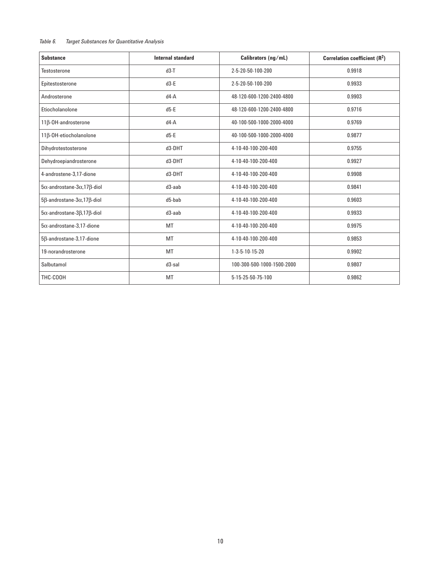#### *Table 6. Target Substances for Quantitative Analysis*

| <b>Substance</b>                                    | <b>Internal standard</b> | Calibrators (ng/mL)        | Correlation coefficient (R <sup>2</sup> ) |
|-----------------------------------------------------|--------------------------|----------------------------|-------------------------------------------|
| <b>Testosterone</b>                                 | $d3-T$                   | 2-5-20-50-100-200          | 0.9918                                    |
| Epitestosterone                                     | $d3-E$                   | 2-5-20-50-100-200          | 0.9933                                    |
| Androsterone                                        | $d4-A$                   | 48-120-600-1200-2400-4800  | 0.9903                                    |
| Etiocholanolone                                     | $d5-E$                   | 48-120-600-1200-2400-4800  | 0.9716                                    |
| 11β-OH-androsterone                                 | $d4-A$                   | 40-100-500-1000-2000-4000  | 0.9769                                    |
| 11β-OH-etiocholanolone                              | $d5-E$                   | 40-100-500-1000-2000-4000  | 0.9877                                    |
| Dihydrotestosterone                                 | d3-DHT                   | 4-10-40-100-200-400        | 0.9755                                    |
| Dehydroepiandrosterone                              | d3-DHT                   | 4-10-40-100-200-400        | 0.9927                                    |
| 4-androstene-3,17-dione                             | d3-DHT                   | 4-10-40-100-200-400        | 0.9908                                    |
| $5\alpha$ -androstane- $3\alpha$ , 17 $\beta$ -diol | d3-aab                   | 4-10-40-100-200-400        | 0.9841                                    |
| 5β-androstane-3α,17β-diol                           | d5-bab                   | 4-10-40-100-200-400        | 0.9603                                    |
| $5\alpha$ -androstane- $3\beta$ ,17 $\beta$ -diol   | d3-aab                   | 4-10-40-100-200-400        | 0.9933                                    |
| $5\alpha$ -androstane-3.17-dione                    | MT                       | 4-10-40-100-200-400        | 0.9975                                    |
| 5ß-androstane-3,17-dione                            | MT                       | 4-10-40-100-200-400        | 0.9853                                    |
| 19-norandrosterone                                  | MT                       | 1-3-5-10-15-20             | 0.9902                                    |
| Salbutamol                                          | d3-sal                   | 100-300-500-1000-1500-2000 | 0.9807                                    |
| THC-COOH                                            | MT                       | 5-15-25-50-75-100          | 0.9862                                    |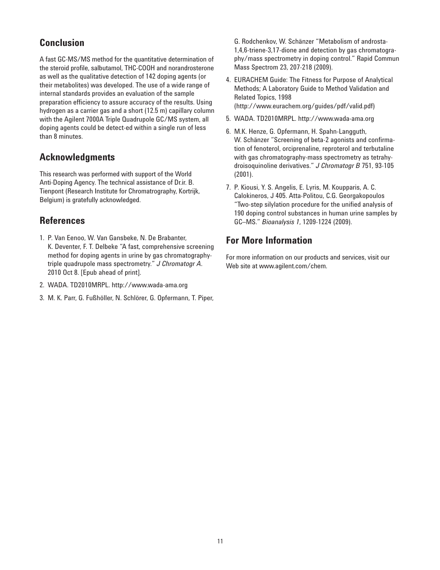# **Conclusion**

A fast GC-MS/MS method for the quantitative determination of the steroid profile, salbutamol, THC-COOH and norandrosterone as well as the qualitative detection of 142 doping agents (or their metabolites) was developed. The use of a wide range of internal standards provides an evaluation of the sample preparation efficiency to assure accuracy of the results. Using hydrogen as a carrier gas and a short (12.5 m) capillary column with the Agilent 7000A Triple Quadrupole GC/MS system, all doping agents could be detect-ed within a single run of less than 8 minutes.

# **Acknowledgments**

This research was performed with support of the World Anti-Doping Agency. The technical assistance of Dr.ir. B. Tienpont (Research Institute for Chromatrography, Kortrijk, Belgium) is gratefully acknowledged.

# **References**

- 1. P. Van Eenoo, W. Van Gansbeke, N. De Brabanter, K. Deventer, F. T. Delbeke "A fast, comprehensive screening method for doping agents in urine by gas chromatographytriple quadrupole mass spectrometry." *J Chromatogr A*. 2010 Oct 8. [Epub ahead of print].
- 2. WADA. TD2010MRPL. http://www.wada-ama.org
- 3. M. K. Parr, G. Fußhöller, N. Schlörer, G. Opfermann, T. Piper,

G. Rodchenkov, W. Schänzer "Metabolism of androsta-1,4,6-triene-3,17-dione and detection by gas chromatography/mass spectrometry in doping control." Rapid Commun Mass Spectrom 23, 207-218 (2009).

- 4. EURACHEM Guide: The Fitness for Purpose of Analytical Methods; A Laboratory Guide to Method Validation and Related Topics, 1998 (http://www.eurachem.org/guides/pdf/valid.pdf)
- 5. WADA. TD2010MRPL. http://www.wada-ama.org
- 6. M.K. Henze, G. Opfermann, H. Spahn-Langguth, W. Schänzer "Screening of beta-2 agonists and confirmation of fenoterol, orciprenaline, reproterol and terbutaline with gas chromatography-mass spectrometry as tetrahydroisoquinoline derivatives." *J Chromatogr B* 751, 93-105 (2001).
- 7. P. Kiousi, Y. S. Angelis, E. Lyris, M. Koupparis, A. C. Calokineros, J 405. Atta-Politou, C.G. Georgakopoulos "Two-step silylation procedure for the unified analysis of 190 doping control substances in human urine samples by GC–MS." *Bioanalysis 1*, 1209-1224 (2009).

# **For More Information**

For more information on our products and services, visit our Web site at www.agilent.com/chem.